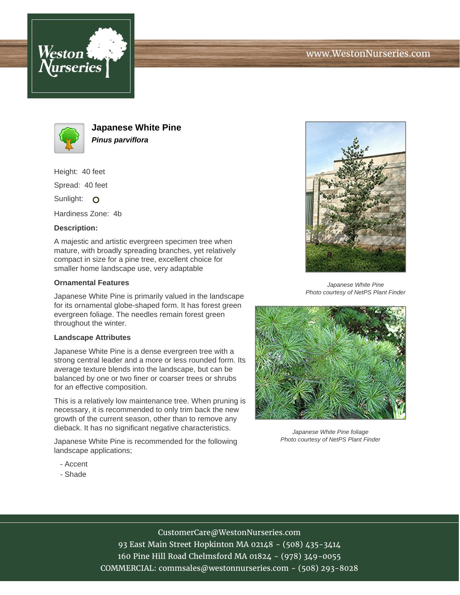





**Japanese White Pine Pinus parviflora**

Height: 40 feet

Spread: 40 feet

Sunlight: O

Hardiness Zone: 4b

### **Description:**

A majestic and artistic evergreen specimen tree when mature, with broadly spreading branches, yet relatively compact in size for a pine tree, excellent choice for smaller home landscape use, very adaptable

#### **Ornamental Features**

Japanese White Pine is primarily valued in the landscape for its ornamental globe-shaped form. It has forest green evergreen foliage. The needles remain forest green throughout the winter.

#### **Landscape Attributes**

Japanese White Pine is a dense evergreen tree with a strong central leader and a more or less rounded form. Its average texture blends into the landscape, but can be balanced by one or two finer or coarser trees or shrubs for an effective composition.

This is a relatively low maintenance tree. When pruning is necessary, it is recommended to only trim back the new growth of the current season, other than to remove any dieback. It has no significant negative characteristics.

Japanese White Pine is recommended for the following landscape applications;

- Accent
- Shade



Japanese White Pine Photo courtesy of NetPS Plant Finder



Japanese White Pine foliage Photo courtesy of NetPS Plant Finder

# CustomerCare@WestonNurseries.com

93 East Main Street Hopkinton MA 02148 - (508) 435-3414 160 Pine Hill Road Chelmsford MA 01824 - (978) 349-0055 COMMERCIAL: commsales@westonnurseries.com - (508) 293-8028